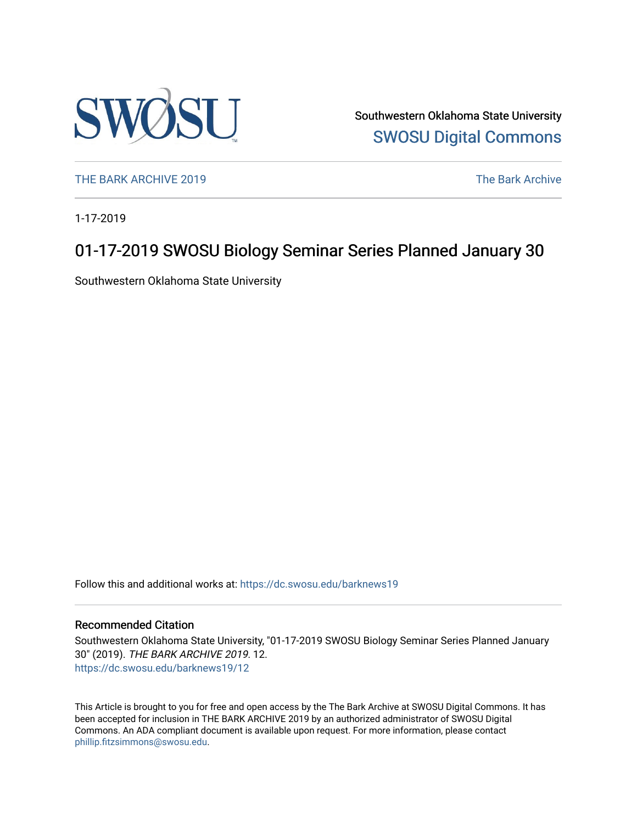

Southwestern Oklahoma State University [SWOSU Digital Commons](https://dc.swosu.edu/) 

[THE BARK ARCHIVE 2019](https://dc.swosu.edu/barknews19) The Bark Archive

1-17-2019

### 01-17-2019 SWOSU Biology Seminar Series Planned January 30

Southwestern Oklahoma State University

Follow this and additional works at: [https://dc.swosu.edu/barknews19](https://dc.swosu.edu/barknews19?utm_source=dc.swosu.edu%2Fbarknews19%2F12&utm_medium=PDF&utm_campaign=PDFCoverPages)

#### Recommended Citation

Southwestern Oklahoma State University, "01-17-2019 SWOSU Biology Seminar Series Planned January 30" (2019). THE BARK ARCHIVE 2019. 12. [https://dc.swosu.edu/barknews19/12](https://dc.swosu.edu/barknews19/12?utm_source=dc.swosu.edu%2Fbarknews19%2F12&utm_medium=PDF&utm_campaign=PDFCoverPages) 

This Article is brought to you for free and open access by the The Bark Archive at SWOSU Digital Commons. It has been accepted for inclusion in THE BARK ARCHIVE 2019 by an authorized administrator of SWOSU Digital Commons. An ADA compliant document is available upon request. For more information, please contact [phillip.fitzsimmons@swosu.edu](mailto:phillip.fitzsimmons@swosu.edu).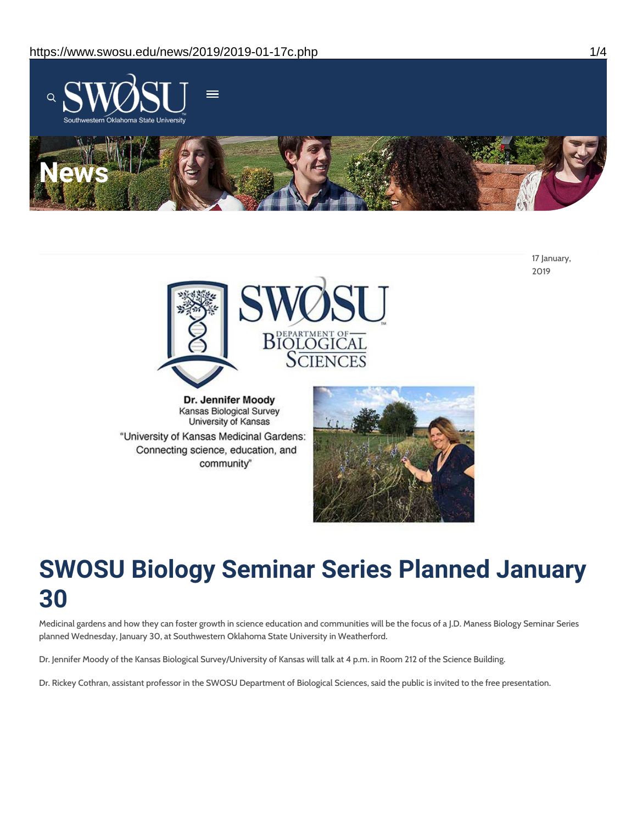

17 January, 2019



Dr. Jennifer Moody Kansas Biological Survey University of Kansas "University of Kansas Medicinal Gardens: Connecting science, education, and community"



# **SWOSU Biology Seminar Series Planned January 30**

Medicinal gardens and how they can foster growth in science education and communities will be the focus of a J.D. Maness Biology Seminar Series planned Wednesday, January 30, at Southwestern Oklahoma State University in Weatherford.

Dr. Jennifer Moody of the Kansas Biological Survey/University of Kansas will talk at 4 p.m. in Room 212 of the Science Building.

Dr. Rickey Cothran, assistant professor in the SWOSU Department of Biological Sciences, said the public is invited to the free presentation.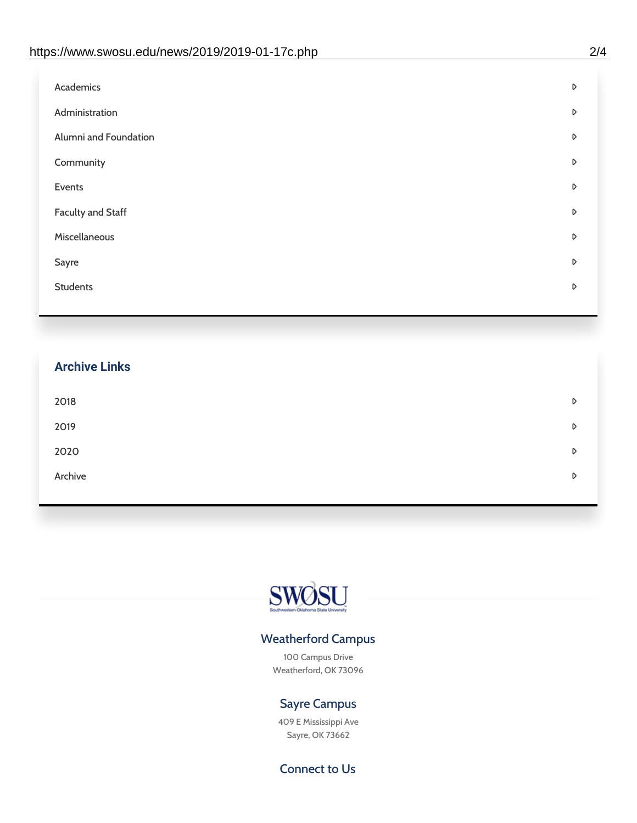| D |
|---|
| D |
| D |
| D |
| D |
| D |
| D |
| D |
| D |
|   |

## **Archive Links**  $2018$  $2019$ [2020](https://www.swosu.edu/news/2020/index.php)  $\bullet$ [Archive](https://dc.swosu.edu/bark/) **Archive Archive Archive Archive Archive** Archive Archive Archive Archive Archive Archive Archive Archive



### Weatherford Campus

100 Campus Drive Weatherford, OK 73096

### Sayre Campus

409 E Mississippi Ave Sayre, OK 73662

Connect to Us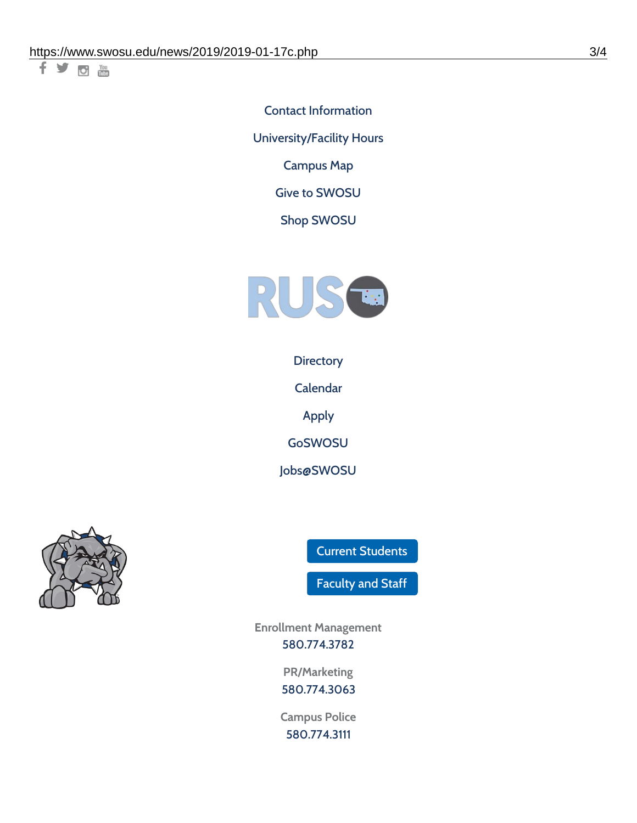千岁回调

Contact [Information](https://www.swosu.edu/about/contact.php) [University/Facility](https://www.swosu.edu/about/operating-hours.php) Hours [Campus](https://map.concept3d.com/?id=768#!ct/10964,10214,10213,10212,10205,10204,10203,10202,10136,10129,10128,0,31226,10130,10201,10641,0) Map

Give to [SWOSU](https://standingfirmly.com/donate)

Shop [SWOSU](https://shopswosu.merchorders.com/)



**[Directory](https://www.swosu.edu/directory/index.php)** 

[Calendar](https://eventpublisher.dudesolutions.com/swosu/)

[Apply](https://www.swosu.edu/admissions/apply-to-swosu.php)

[GoSWOSU](https://qlsso.quicklaunchsso.com/home/1267)

[Jobs@SWOSU](https://swosu.csod.com/ux/ats/careersite/1/home?c=swosu)



Current [Students](https://bulldog.swosu.edu/index.php)

[Faculty](https://bulldog.swosu.edu/faculty-staff/index.php) and Staff

**Enrollment Management** [580.774.3782](tel:5807743782)

> **PR/Marketing** [580.774.3063](tel:5807743063)

**Campus Police** [580.774.3111](tel:5807743111)